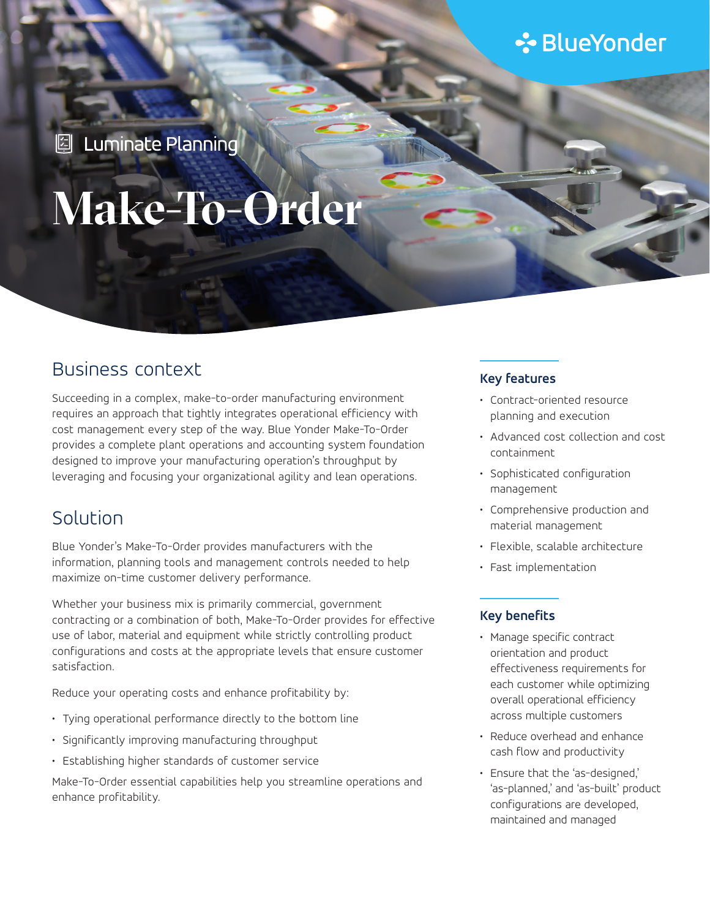## **∻**BlueYonder

**2** Luminate Planning

# **Make-To-Order**

## Business context

Succeeding in a complex, make-to-order manufacturing environment requires an approach that tightly integrates operational efficiency with cost management every step of the way. Blue Yonder Make-To-Order provides a complete plant operations and accounting system foundation designed to improve your manufacturing operation's throughput by leveraging and focusing your organizational agility and lean operations.

## Solution

Blue Yonder's Make-To-Order provides manufacturers with the information, planning tools and management controls needed to help maximize on-time customer delivery performance.

Whether your business mix is primarily commercial, government contracting or a combination of both, Make-To-Order provides for effective use of labor, material and equipment while strictly controlling product configurations and costs at the appropriate levels that ensure customer satisfaction.

Reduce your operating costs and enhance profitability by:

- Tying operational performance directly to the bottom line
- Significantly improving manufacturing throughput
- Establishing higher standards of customer service

Make-To-Order essential capabilities help you streamline operations and enhance profitability.

#### **Key features**

- Contract-oriented resource planning and execution
- Advanced cost collection and cost containment
- Sophisticated configuration management
- Comprehensive production and material management
- Flexible, scalable architecture
- Fast implementation

#### **Key benefits**

- Manage specific contract orientation and product effectiveness requirements for each customer while optimizing overall operational efficiency across multiple customers
- Reduce overhead and enhance cash flow and productivity
- Ensure that the 'as-designed,' 'as-planned,' and 'as-built' product configurations are developed, maintained and managed